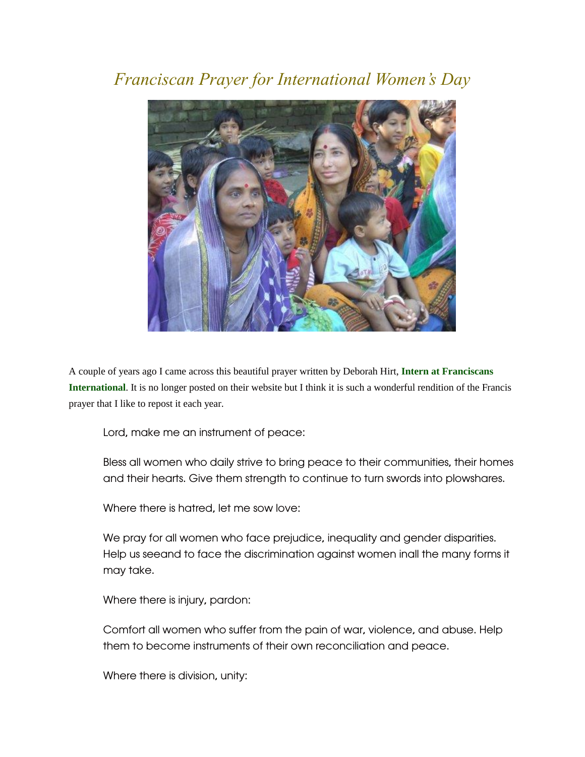## *Franciscan Prayer for International Women's Day*



A couple of years ago I came across this beautiful prayer written by Deborah Hirt, **[Intern at Franciscans](http://www.franciscansinternational.org/)  [International](http://www.franciscansinternational.org/)**. It is no longer posted on their website but I think it is such a wonderful rendition of the Francis prayer that I like to repost it each year.

Lord, make me an instrument of peace:

Bless all women who daily strive to bring peace to their communities, their homes and their hearts. Give them strength to continue to turn swords into plowshares.

Where there is hatred, let me sow love:

We pray for all women who face prejudice, inequality and gender disparities. Help us seeand to face the discrimination against women inall the many forms it may take.

Where there is injury, pardon:

Comfort all women who suffer from the pain of war, violence, and abuse. Help them to become instruments of their own reconciliation and peace.

Where there is division, unity: